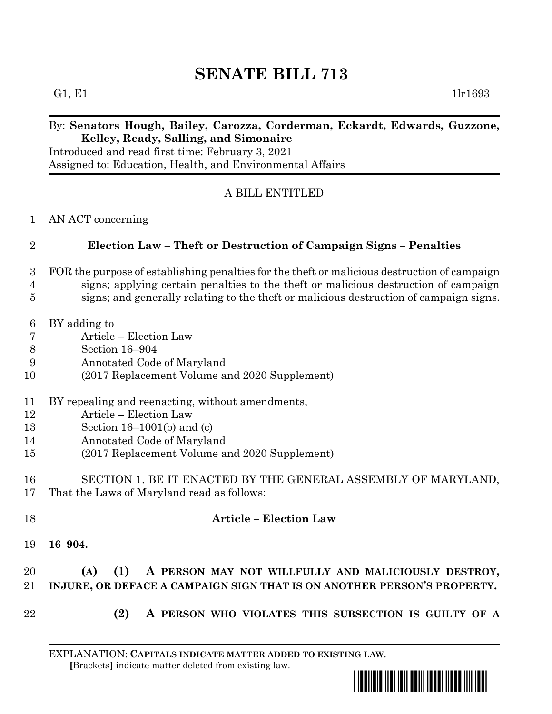# **SENATE BILL 713**

G1, E1  $1\text{lr}1693$ 

### By: **Senators Hough, Bailey, Carozza, Corderman, Eckardt, Edwards, Guzzone, Kelley, Ready, Salling, and Simonaire**

Introduced and read first time: February 3, 2021 Assigned to: Education, Health, and Environmental Affairs

#### A BILL ENTITLED

AN ACT concerning

#### **Election Law – Theft or Destruction of Campaign Signs – Penalties**

- FOR the purpose of establishing penalties for the theft or malicious destruction of campaign
- signs; applying certain penalties to the theft or malicious destruction of campaign
- signs; and generally relating to the theft or malicious destruction of campaign signs.
- BY adding to
- Article Election Law
- Section 16–904
- Annotated Code of Maryland
- (2017 Replacement Volume and 2020 Supplement)
- BY repealing and reenacting, without amendments,
- Article Election Law
- Section 16–1001(b) and (c)
- Annotated Code of Maryland
- (2017 Replacement Volume and 2020 Supplement)
- SECTION 1. BE IT ENACTED BY THE GENERAL ASSEMBLY OF MARYLAND, That the Laws of Maryland read as follows:
- **Article – Election Law**
- **16–904.**

## **(A) (1) A PERSON MAY NOT WILLFULLY AND MALICIOUSLY DESTROY, INJURE, OR DEFACE A CAMPAIGN SIGN THAT IS ON ANOTHER PERSON'S PROPERTY.**

- 
- **(2) A PERSON WHO VIOLATES THIS SUBSECTION IS GUILTY OF A**

EXPLANATION: **CAPITALS INDICATE MATTER ADDED TO EXISTING LAW**.  **[**Brackets**]** indicate matter deleted from existing law.